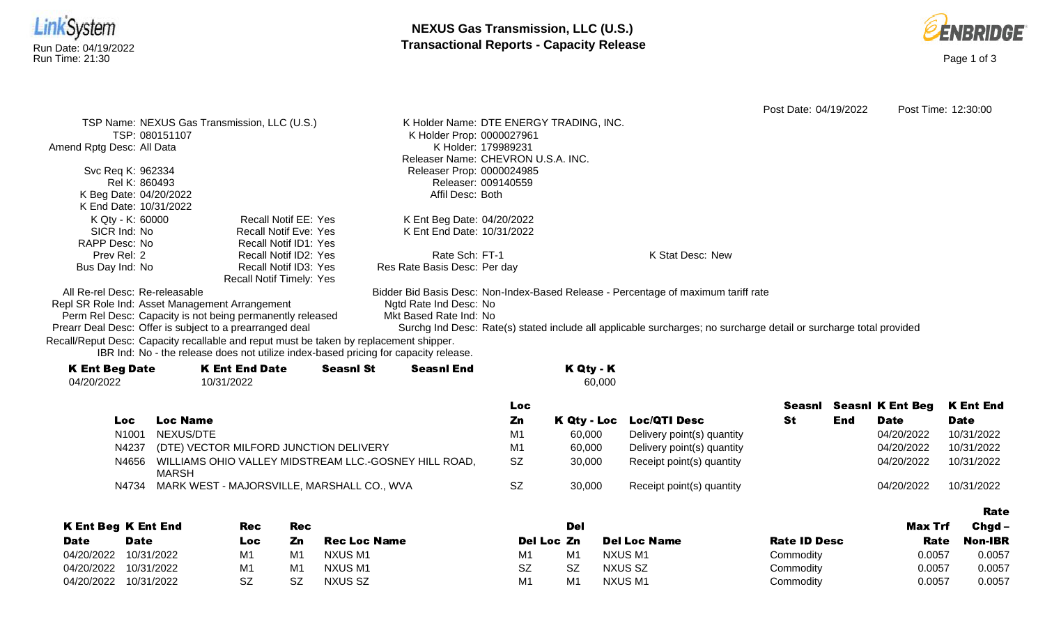

Date

Date

04/20/2022 10/31/2022 M1 M1 04/20/2022 10/31/2022 M1 M1 04/20/2022 10/31/2022 SZ SZ

Loc



|                                              |                                                                                        |                  |                                    |                     |                                         |                                                                                                                    | Post Date: 04/19/2022 |     | Post Time: 12:30:00     |                  |
|----------------------------------------------|----------------------------------------------------------------------------------------|------------------|------------------------------------|---------------------|-----------------------------------------|--------------------------------------------------------------------------------------------------------------------|-----------------------|-----|-------------------------|------------------|
| TSP Name: NEXUS Gas Transmission, LLC (U.S.) |                                                                                        |                  |                                    |                     | K Holder Name: DTE ENERGY TRADING, INC. |                                                                                                                    |                       |     |                         |                  |
| TSP: 080151107                               |                                                                                        |                  | K Holder Prop: 0000027961          |                     |                                         |                                                                                                                    |                       |     |                         |                  |
| Amend Rptg Desc: All Data                    |                                                                                        |                  |                                    | K Holder: 179989231 |                                         |                                                                                                                    |                       |     |                         |                  |
|                                              |                                                                                        |                  | Releaser Name: CHEVRON U.S.A. INC. |                     |                                         |                                                                                                                    |                       |     |                         |                  |
| Svc Req K: 962334                            |                                                                                        |                  | Releaser Prop: 0000024985          |                     |                                         |                                                                                                                    |                       |     |                         |                  |
| Rel K: 860493                                |                                                                                        |                  |                                    | Releaser: 009140559 |                                         |                                                                                                                    |                       |     |                         |                  |
| K Beg Date: 04/20/2022                       |                                                                                        |                  | Affil Desc: Both                   |                     |                                         |                                                                                                                    |                       |     |                         |                  |
| K End Date: 10/31/2022                       |                                                                                        |                  |                                    |                     |                                         |                                                                                                                    |                       |     |                         |                  |
| K Qty - K: 60000                             | <b>Recall Notif EE: Yes</b>                                                            |                  | K Ent Beg Date: 04/20/2022         |                     |                                         |                                                                                                                    |                       |     |                         |                  |
| SICR Ind: No                                 | <b>Recall Notif Eve: Yes</b>                                                           |                  | K Ent End Date: 10/31/2022         |                     |                                         |                                                                                                                    |                       |     |                         |                  |
| RAPP Desc: No                                | Recall Notif ID1: Yes                                                                  |                  |                                    |                     |                                         |                                                                                                                    |                       |     |                         |                  |
| Prev Rel: 2                                  | Recall Notif ID2: Yes                                                                  |                  | Rate Sch: FT-1                     |                     |                                         | K Stat Desc: New                                                                                                   |                       |     |                         |                  |
| Bus Day Ind: No                              | Recall Notif ID3: Yes                                                                  |                  | Res Rate Basis Desc: Per day       |                     |                                         |                                                                                                                    |                       |     |                         |                  |
|                                              | Recall Notif Timely: Yes                                                               |                  |                                    |                     |                                         |                                                                                                                    |                       |     |                         |                  |
| All Re-rel Desc: Re-releasable               |                                                                                        |                  |                                    |                     |                                         | Bidder Bid Basis Desc: Non-Index-Based Release - Percentage of maximum tariff rate                                 |                       |     |                         |                  |
|                                              | Repl SR Role Ind: Asset Management Arrangement                                         |                  | Ngtd Rate Ind Desc: No             |                     |                                         |                                                                                                                    |                       |     |                         |                  |
|                                              | Perm Rel Desc: Capacity is not being permanently released                              |                  | Mkt Based Rate Ind: No             |                     |                                         |                                                                                                                    |                       |     |                         |                  |
|                                              | Prearr Deal Desc: Offer is subject to a prearranged deal                               |                  |                                    |                     |                                         | Surchg Ind Desc: Rate(s) stated include all applicable surcharges; no surcharge detail or surcharge total provided |                       |     |                         |                  |
|                                              | Recall/Reput Desc: Capacity recallable and reput must be taken by replacement shipper. |                  |                                    |                     |                                         |                                                                                                                    |                       |     |                         |                  |
|                                              | IBR Ind: No - the release does not utilize index-based pricing for capacity release.   |                  |                                    |                     |                                         |                                                                                                                    |                       |     |                         |                  |
| <b>K Ent Beg Date</b>                        | <b>K Ent End Date</b>                                                                  | <b>Seasnl St</b> | <b>Seasnl End</b>                  |                     | K Qty - K                               |                                                                                                                    |                       |     |                         |                  |
| 04/20/2022                                   | 10/31/2022                                                                             |                  |                                    |                     | 60,000                                  |                                                                                                                    |                       |     |                         |                  |
|                                              |                                                                                        |                  |                                    | <b>Loc</b>          |                                         |                                                                                                                    |                       |     | Seasnl Seasnl K Ent Beg | <b>K Ent End</b> |
| <b>Loc</b>                                   | <b>Loc Name</b>                                                                        |                  |                                    | Zn                  |                                         | K Qty - Loc Loc/QTI Desc                                                                                           | <b>St</b>             | End | <b>Date</b>             | <b>Date</b>      |
| N <sub>1001</sub>                            | NEXUS/DTE                                                                              |                  |                                    | M <sub>1</sub>      | 60,000                                  | Delivery point(s) quantity                                                                                         |                       |     | 04/20/2022              | 10/31/2022       |
| N4237                                        | (DTE) VECTOR MILFORD JUNCTION DELIVERY                                                 |                  |                                    | M1                  | 60,000                                  | Delivery point(s) quantity                                                                                         |                       |     | 04/20/2022              | 10/31/2022       |
| N4656                                        | WILLIAMS OHIO VALLEY MIDSTREAM LLC.-GOSNEY HILL ROAD,                                  |                  |                                    | <b>SZ</b>           | 30,000                                  | Receipt point(s) quantity                                                                                          |                       |     | 04/20/2022              | 10/31/2022       |
|                                              | <b>MARSH</b>                                                                           |                  |                                    |                     |                                         |                                                                                                                    |                       |     |                         |                  |
|                                              | N4734 MARK WEST - MAJORSVILLE, MARSHALL CO., WVA                                       |                  |                                    | SZ                  | 30,000                                  | Receipt point(s) quantity                                                                                          |                       |     | 04/20/2022              | 10/31/2022       |
|                                              |                                                                                        |                  |                                    |                     |                                         |                                                                                                                    |                       |     |                         | <b>Rate</b>      |
| <b>K Ent Beg K Ent End</b>                   | <b>Rec</b><br><b>Rec</b>                                                               |                  |                                    |                     | <b>Del</b>                              |                                                                                                                    |                       |     | Max Trf                 | Chgd-            |

|                     |    | Del       |                     |                     | Max Trf | $Chgd -$       |  |
|---------------------|----|-----------|---------------------|---------------------|---------|----------------|--|
| <b>Rec Loc Name</b> |    |           | <b>Del Loc Name</b> | <b>Rate ID Desc</b> | Rate    | <b>Non-IBR</b> |  |
| NXUS M1             | M1 | M1        | NXUS M1             | Commodity           | 0.0057  | 0.0057         |  |
| NXUS M1             | SZ | <b>SZ</b> | NXUS SZ             | Commodity           | 0.0057  | 0.0057         |  |
| <b>NXUS SZ</b>      | M1 | M1        | NXUS M1             | Commodity           | 0.0057  | 0.0057         |  |
|                     |    |           | Del Loc Zn          |                     |         |                |  |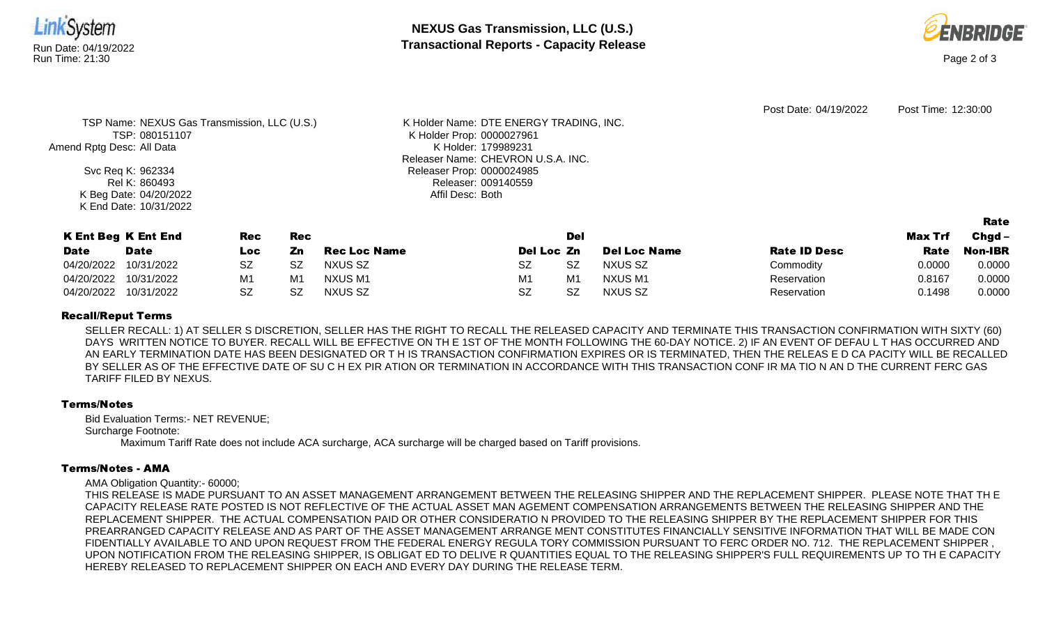



|                                              |                                         | Post Date: 04/19/2022 | Post Time: 12:30:00 |
|----------------------------------------------|-----------------------------------------|-----------------------|---------------------|
| TSP Name: NEXUS Gas Transmission, LLC (U.S.) | K Holder Name: DTE ENERGY TRADING, INC. |                       |                     |
| TSP: 080151107                               | K Holder Prop: 0000027961               |                       |                     |
| Amend Rptg Desc: All Data                    | K Holder: 179989231                     |                       |                     |
|                                              | Releaser Name: CHEVRON U.S.A. INC.      |                       |                     |
| Svc Req K: 962334                            | Releaser Prop: 0000024985               |                       |                     |
| Rel K: 860493                                | Releaser: 009140559                     |                       |                     |
| K Beg Date: 04/20/2022                       | Affil Desc: Both                        |                       |                     |
| K End Date: 10/31/2022                       |                                         |                       |                     |
|                                              |                                         |                       | Rate                |

|             | <b>K Ent Beg K Ent End</b> | Rec  | Rec       |                     |                | Del |                     |                     | Max Trf | Chad –         |
|-------------|----------------------------|------|-----------|---------------------|----------------|-----|---------------------|---------------------|---------|----------------|
| <b>Date</b> | <b>Date</b>                | Loc: | Zn        | <b>Rec Loc Name</b> | Del Loc Zn     |     | <b>Del Loc Name</b> | <b>Rate ID Desc</b> | Rate    | <b>Non-IBR</b> |
| 04/20/2022  | 10/31/2022                 |      | <b>SZ</b> | <b>NXUS SZ</b>      | <b>SZ</b>      | SZ  | NXUS SZ             | Commodity           | 0.0000  | 0.0000         |
| 04/20/2022  | 10/31/2022                 | M1   | M1        | NXUS M1             | M <sub>1</sub> | M1  | NXUS M1             | Reservation         | 0.8167  | 0.0000         |
| 04/20/2022  | 10/31/2022                 |      | SZ        | NXUS SZ             | <b>SZ</b>      | SZ  | NXUS SZ             | Reservation         | 0.1498  | 0.0000         |

## Recall/Reput Terms

SELLER RECALL: 1) AT SELLER S DISCRETION, SELLER HAS THE RIGHT TO RECALL THE RELEASED CAPACITY AND TERMINATE THIS TRANSACTION CONFIRMATION WITH SIXTY (60) DAYS WRITTEN NOTICE TO BUYER. RECALL WILL BE EFFECTIVE ON TH E 1ST OF THE MONTH FOLLOWING THE 60-DAY NOTICE. 2) IF AN EVENT OF DEFAU L T HAS OCCURRED AND AN EARLY TERMINATION DATE HAS BEEN DESIGNATED OR T H IS TRANSACTION CONFIRMATION EXPIRES OR IS TERMINATED, THEN THE RELEAS E D CA PACITY WILL BE RECALLED BY SELLER AS OF THE EFFECTIVE DATE OF SU C H EX PIR ATION OR TERMINATION IN ACCORDANCE WITH THIS TRANSACTION CONF IR MA TIO N AN D THE CURRENT FERC GAS TARIFF FILED BY NEXUS.

## Terms/Notes

Bid Evaluation Terms:- NET REVENUE;

Surcharge Footnote:

Maximum Tariff Rate does not include ACA surcharge, ACA surcharge will be charged based on Tariff provisions.

## Terms/Notes - AMA

AMA Obligation Quantity:- 60000;

THIS RELEASE IS MADE PURSUANT TO AN ASSET MANAGEMENT ARRANGEMENT BETWEEN THE RELEASING SHIPPER AND THE REPLACEMENT SHIPPER. PLEASE NOTE THAT TH E CAPACITY RELEASE RATE POSTED IS NOT REFLECTIVE OF THE ACTUAL ASSET MAN AGEMENT COMPENSATION ARRANGEMENTS BETWEEN THE RELEASING SHIPPER AND THE REPLACEMENT SHIPPER. THE ACTUAL COMPENSATION PAID OR OTHER CONSIDERATIO N PROVIDED TO THE RELEASING SHIPPER BY THE REPLACEMENT SHIPPER FOR THIS PREARRANGED CAPACITY RELEASE AND AS PART OF THE ASSET MANAGEMENT ARRANGE MENT CONSTITUTES FINANCIALLY SENSITIVE INFORMATION THAT WILL BE MADE CON FIDENTIALLY AVAILABLE TO AND UPON REQUEST FROM THE FEDERAL ENERGY REGULA TORY COMMISSION PURSUANT TO FERC ORDER NO. 712. THE REPLACEMENT SHIPPER , UPON NOTIFICATION FROM THE RELEASING SHIPPER, IS OBLIGAT ED TO DELIVE R QUANTITIES EQUAL TO THE RELEASING SHIPPER'S FULL REQUIREMENTS UP TO TH E CAPACITY HEREBY RELEASED TO REPLACEMENT SHIPPER ON EACH AND EVERY DAY DURING THE RELEASE TERM.